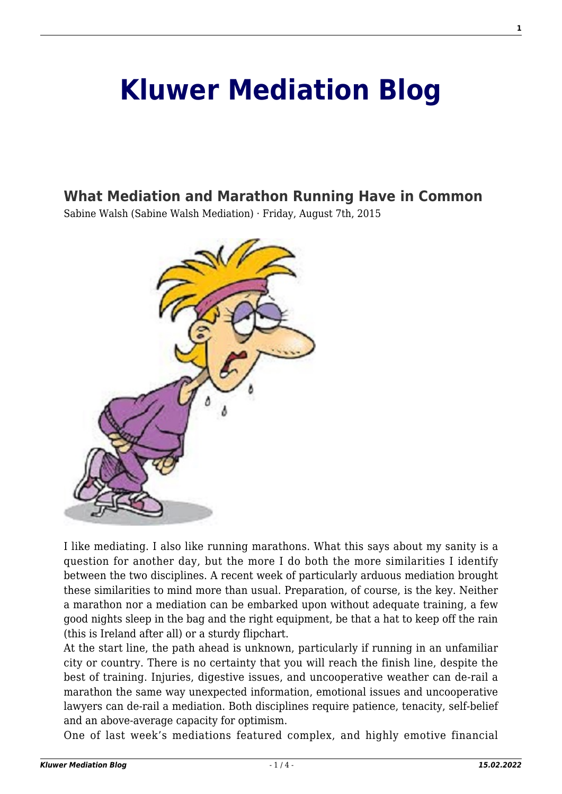## **[Kluwer Mediation Blog](http://mediationblog.kluwerarbitration.com/)**

## **[What Mediation and Marathon Running Have in Common](http://mediationblog.kluwerarbitration.com/2015/08/07/what-mediation-and-marathon-running-have-in-common/)**

Sabine Walsh (Sabine Walsh Mediation) · Friday, August 7th, 2015



I like mediating. I also like running marathons. What this says about my sanity is a question for another day, but the more I do both the more similarities I identify between the two disciplines. A recent week of particularly arduous mediation brought these similarities to mind more than usual. Preparation, of course, is the key. Neither a marathon nor a mediation can be embarked upon without adequate training, a few good nights sleep in the bag and the right equipment, be that a hat to keep off the rain (this is Ireland after all) or a sturdy flipchart.

At the start line, the path ahead is unknown, particularly if running in an unfamiliar city or country. There is no certainty that you will reach the finish line, despite the best of training. Injuries, digestive issues, and uncooperative weather can de-rail a marathon the same way unexpected information, emotional issues and uncooperative lawyers can de-rail a mediation. Both disciplines require patience, tenacity, self-belief and an above-average capacity for optimism.

One of last week's mediations featured complex, and highly emotive financial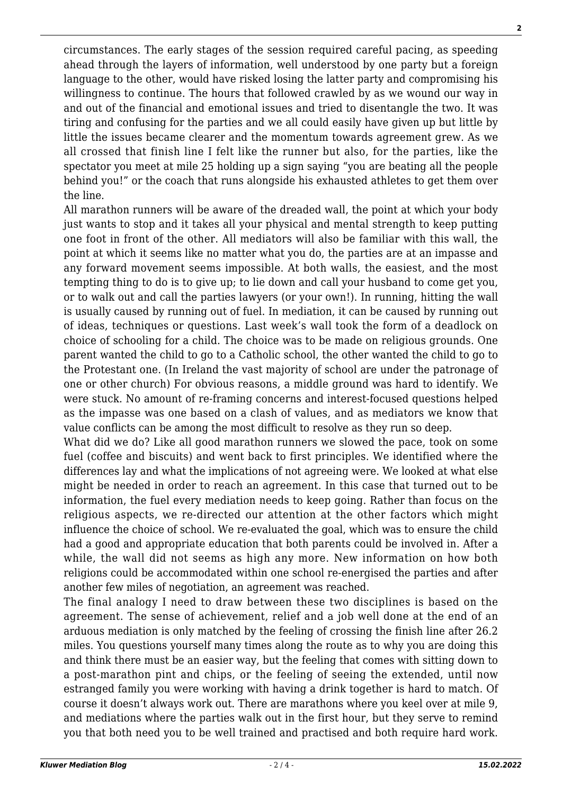circumstances. The early stages of the session required careful pacing, as speeding ahead through the layers of information, well understood by one party but a foreign language to the other, would have risked losing the latter party and compromising his willingness to continue. The hours that followed crawled by as we wound our way in and out of the financial and emotional issues and tried to disentangle the two. It was tiring and confusing for the parties and we all could easily have given up but little by little the issues became clearer and the momentum towards agreement grew. As we all crossed that finish line I felt like the runner but also, for the parties, like the spectator you meet at mile 25 holding up a sign saying "you are beating all the people behind you!" or the coach that runs alongside his exhausted athletes to get them over the line.

All marathon runners will be aware of the dreaded wall, the point at which your body just wants to stop and it takes all your physical and mental strength to keep putting one foot in front of the other. All mediators will also be familiar with this wall, the point at which it seems like no matter what you do, the parties are at an impasse and any forward movement seems impossible. At both walls, the easiest, and the most tempting thing to do is to give up; to lie down and call your husband to come get you, or to walk out and call the parties lawyers (or your own!). In running, hitting the wall is usually caused by running out of fuel. In mediation, it can be caused by running out of ideas, techniques or questions. Last week's wall took the form of a deadlock on choice of schooling for a child. The choice was to be made on religious grounds. One parent wanted the child to go to a Catholic school, the other wanted the child to go to the Protestant one. (In Ireland the vast majority of school are under the patronage of one or other church) For obvious reasons, a middle ground was hard to identify. We were stuck. No amount of re-framing concerns and interest-focused questions helped as the impasse was one based on a clash of values, and as mediators we know that value conflicts can be among the most difficult to resolve as they run so deep.

What did we do? Like all good marathon runners we slowed the pace, took on some fuel (coffee and biscuits) and went back to first principles. We identified where the differences lay and what the implications of not agreeing were. We looked at what else might be needed in order to reach an agreement. In this case that turned out to be information, the fuel every mediation needs to keep going. Rather than focus on the religious aspects, we re-directed our attention at the other factors which might influence the choice of school. We re-evaluated the goal, which was to ensure the child had a good and appropriate education that both parents could be involved in. After a while, the wall did not seems as high any more. New information on how both religions could be accommodated within one school re-energised the parties and after another few miles of negotiation, an agreement was reached.

The final analogy I need to draw between these two disciplines is based on the agreement. The sense of achievement, relief and a job well done at the end of an arduous mediation is only matched by the feeling of crossing the finish line after 26.2 miles. You questions yourself many times along the route as to why you are doing this and think there must be an easier way, but the feeling that comes with sitting down to a post-marathon pint and chips, or the feeling of seeing the extended, until now estranged family you were working with having a drink together is hard to match. Of course it doesn't always work out. There are marathons where you keel over at mile 9, and mediations where the parties walk out in the first hour, but they serve to remind you that both need you to be well trained and practised and both require hard work.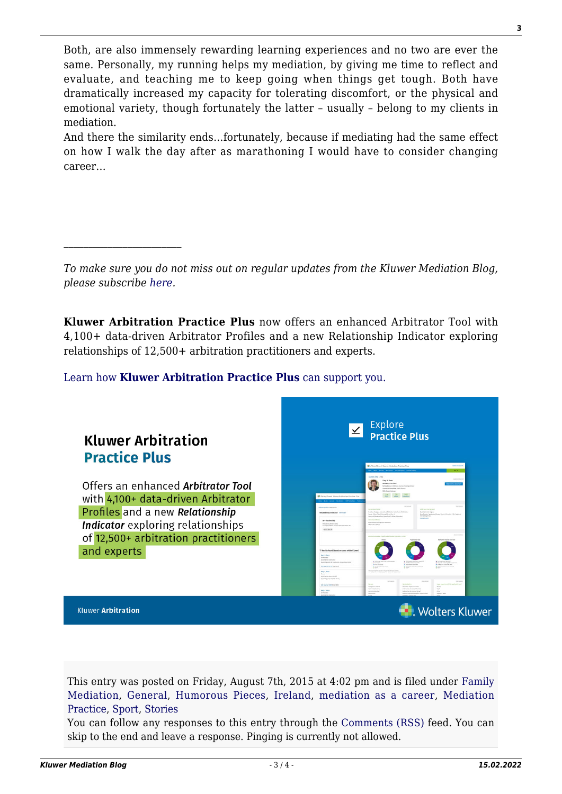Both, are also immensely rewarding learning experiences and no two are ever the same. Personally, my running helps my mediation, by giving me time to reflect and evaluate, and teaching me to keep going when things get tough. Both have dramatically increased my capacity for tolerating discomfort, or the physical and emotional variety, though fortunately the latter – usually – belong to my clients in mediation.

And there the similarity ends…fortunately, because if mediating had the same effect on how I walk the day after as marathoning I would have to consider changing career…

*To make sure you do not miss out on regular updates from the Kluwer Mediation Blog, please subscribe [here.](http://mediationblog.kluwerarbitration.com/newsletter/)*

**Kluwer Arbitration Practice Plus** now offers an enhanced Arbitrator Tool with 4,100+ data-driven Arbitrator Profiles and a new Relationship Indicator exploring relationships of 12,500+ arbitration practitioners and experts.

[Learn how](https://www.wolterskluwer.com/en/solutions/kluwerarbitration/practiceplus?utm_source=mediationblog&utm_medium=articleCTA&utm_campaign=article-banner) **[Kluwer Arbitration Practice Plus](https://www.wolterskluwer.com/en/solutions/kluwerarbitration/practiceplus?utm_source=mediationblog&utm_medium=articleCTA&utm_campaign=article-banner)** [can support you.](https://www.wolterskluwer.com/en/solutions/kluwerarbitration/practiceplus?utm_source=mediationblog&utm_medium=articleCTA&utm_campaign=article-banner)



This entry was posted on Friday, August 7th, 2015 at 4:02 pm and is filed under [Family](http://mediationblog.kluwerarbitration.com/category/family-mediation/) [Mediation](http://mediationblog.kluwerarbitration.com/category/family-mediation/), [General](http://mediationblog.kluwerarbitration.com/category/general/), [Humorous Pieces,](http://mediationblog.kluwerarbitration.com/category/humorous-pieces/) [Ireland,](http://mediationblog.kluwerarbitration.com/category/ireland/) [mediation as a career,](http://mediationblog.kluwerarbitration.com/category/mediation-as-a-career/) [Mediation](http://mediationblog.kluwerarbitration.com/category/mediation-practice/) [Practice,](http://mediationblog.kluwerarbitration.com/category/mediation-practice/) [Sport,](http://mediationblog.kluwerarbitration.com/category/sport/) [Stories](http://mediationblog.kluwerarbitration.com/category/stories-2/)

You can follow any responses to this entry through the [Comments \(RSS\)](http://mediationblog.kluwerarbitration.com/comments/feed/) feed. You can skip to the end and leave a response. Pinging is currently not allowed.